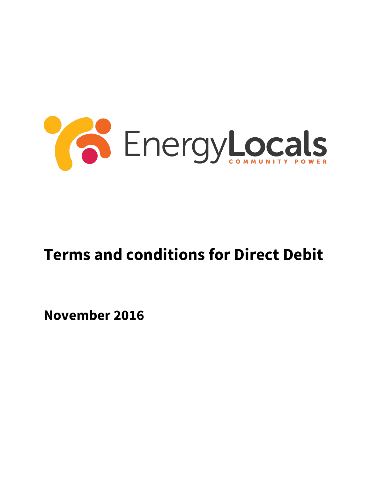

# **Terms and conditions for Direct Debit**

**November 2016**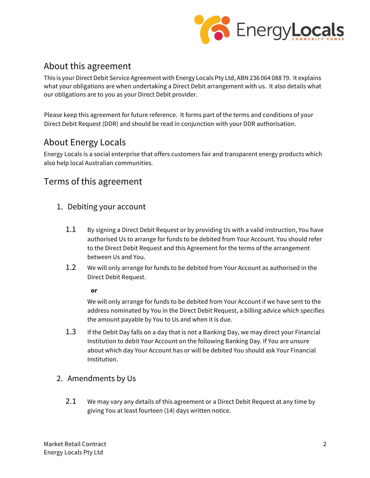

# About this agreement

This is your Direct Debit Service Agreement with Energy Locals Pty Ltd, ABN 236 064 088 79. It explains what your obligations are when undertaking a Direct Debit arrangement with us. It also details what our obligations are to you as your Direct Debit provider.

Please keep this agreement for future reference. It forms part of the terms and conditions of your Direct Debit Request (DDR) and should be read in conjunction with your DDR authorisation.

# About Energy Locals

Energy Locals is a social enterprise that offers customers fair and transparent energy products which also help local Australian communities.

# Terms of this agreement

- 1. Debiting your account
	- 1.1 By signing a Direct Debit Request or by providing Us with a valid instruction, You have authorised Us to arrange for funds to be debited from Your Account. You should refer to the Direct Debit Request and this Agreement for the terms of the arrangement between Us and You.
	- 1.2 We will only arrange for funds to be debited from Your Account as authorised in the Direct Debit Request.

**or**

We will only arrange for funds to be debited from Your Account if we have sent to the address nominated by You in the Direct Debit Request, a billing advice which specifies the amount payable by You to Us and when it is due.

- 1.3 If the Debit Day falls on a day that is not a Banking Day, we may direct your Financial Institution to debit Your Account on the following Banking Day. If You are unsure about which day Your Account has or will be debited You should ask Your Financial Institution.
- 2. Amendments by Us
	- 2.1 We may vary any details of this agreement or a Direct Debit Request at any time by giving You at least fourteen (14) days written notice.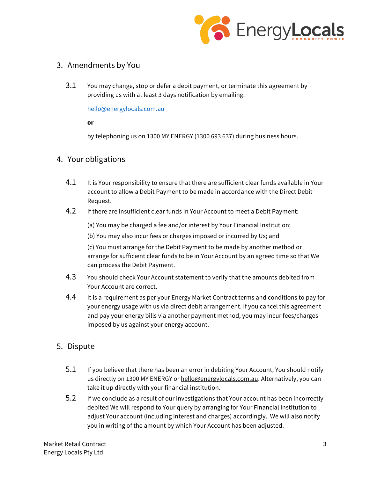

### 3. Amendments by You

3.1 You may change, stop or defer a debit payment, or terminate this agreement by providing us with at least 3 days notification by emailing:

hello@energylocals.com.au

**or**

by telephoning us on 1300 MY ENERGY (1300 693 637) during business hours.

#### 4. Your obligations

- 4.1 It is Your responsibility to ensure that there are sufficient clear funds available in Your account to allow a Debit Payment to be made in accordance with the Direct Debit Request.
- 4.2 If there are insufficient clear funds in Your Account to meet a Debit Payment:

(a) You may be charged a fee and/or interest by Your Financial Institution;

(b) You may also incur fees or charges imposed or incurred by Us; and

(c) You must arrange for the Debit Payment to be made by another method or arrange for sufficient clear funds to be in Your Account by an agreed time so that We can process the Debit Payment.

- 4.3 You should check Your Account statement to verify that the amounts debited from Your Account are correct.
- 4.4 It is a requirement as per your Energy Market Contract terms and conditions to pay for your energy usage with us via direct debit arrangement. If you cancel this agreement and pay your energy bills via another payment method, you may incur fees/charges imposed by us against your energy account.
- 5. Dispute
	- 5.1 If you believe that there has been an error in debiting Your Account, You should notify us directly on 1300 MY ENERGY or hello@energylocals.com.au. Alternatively, you can take it up directly with your financial institution.
	- 5.2 If we conclude as a result of our investigations that Your account has been incorrectly debited We will respond to Your query by arranging for Your Financial Institution to adjust Your account (including interest and charges) accordingly. We will also notify you in writing of the amount by which Your Account has been adjusted.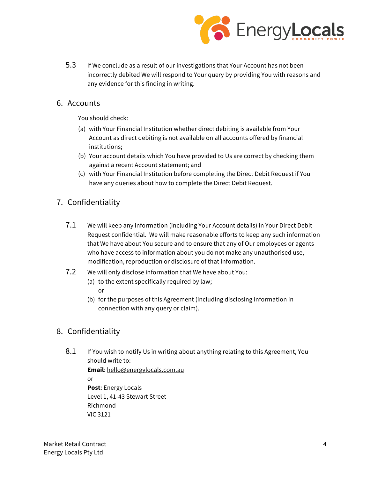

5.3 If We conclude as a result of our investigations that Your Account has not been incorrectly debited We will respond to Your query by providing You with reasons and any evidence for this finding in writing.

#### 6. Accounts

You should check:

- (a) with Your Financial Institution whether direct debiting is available from Your Account as direct debiting is not available on all accounts offered by financial institutions;
- (b) Your account details which You have provided to Us are correct by checking them against a recent Account statement; and
- (c) with Your Financial Institution before completing the Direct Debit Request if You have any queries about how to complete the Direct Debit Request.

## 7. Confidentiality

- 7.1 We will keep any information (including Your Account details) in Your Direct Debit Request confidential. We will make reasonable efforts to keep any such information that We have about You secure and to ensure that any of Our employees or agents who have access to information about you do not make any unauthorised use, modification, reproduction or disclosure of that information.
- 7.2 We will only disclose information that We have about You:
	- (a) to the extent specifically required by law; or
	- (b) for the purposes of this Agreement (including disclosing information in connection with any query or claim).

## 8. Confidentiality

VIC 3121

8.1 If You wish to notify Us in writing about anything relating to this Agreement, You should write to:

**Email**: hello@energylocals.com.au or **Post**: Energy Locals Level 1, 41-43 Stewart Street Richmond